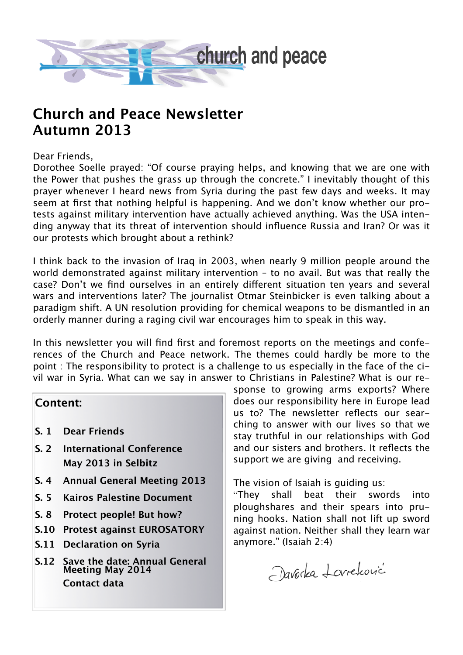

## **Church and Peace Newsletter Autumn 2013**

#### Dear Friends,

Dorothee Soelle prayed: "Of course praying helps, and knowing that we are one with the Power that pushes the grass up through the concrete." I inevitably thought of this prayer whenever I heard news from Syria during the past few days and weeks. It may seem at first that nothing helpful is happening. And we don't know whether our protests against military intervention have actually achieved anything. Was the USA intending anyway that its threat of intervention should influence Russia and Iran? Or was it our protests which brought about a rethink?

I think back to the invasion of Iraq in 2003, when nearly 9 million people around the world demonstrated against military intervention – to no avail. But was that really the case? Don't we find ourselves in an entirely different situation ten years and several wars and interventions later? The journalist Otmar Steinbicker is even talking about a paradigm shift. A UN resolution providing for chemical weapons to be dismantled in an orderly manner during a raging civil war encourages him to speak in this way.

In this newsletter you will find first and foremost reports on the meetings and conferences of the Church and Peace network. The themes could hardly be more to the point : The responsibility to protect is a challenge to us especially in the face of the civil war in Syria. What can we say in answer to Christians in Palestine? What is our re-

### **Content:**

- **S. 1 Dear Friends**
- **S. 2 International Conference May 2013 in Selbitz**
- **S. 4 Annual General Meeting 2013**
- **S. 5 Kairos Palestine Document**
- **S. 8 Protect people! But how?**
- **S.10 Protest against EUROSATORY**
- **S.11 Declaration on Syria**
- **S.12 Save the date: Annual General Meeting May 2014 Contact data**

sponse to growing arms exports? Where does our responsibility here in Europe lead us to? The newsletter reflects our searching to answer with our lives so that we stay truthful in our relationships with God and our sisters and brothers. It reflects the support we are giving and receiving.

The vision of Isaiah is guiding us:

"They shall beat their swords into ploughshares and their spears into pruning hooks. Nation shall not lift up sword against nation. Neither shall they learn war anymore." (Isaiah 2:4)

Davorka Lovreković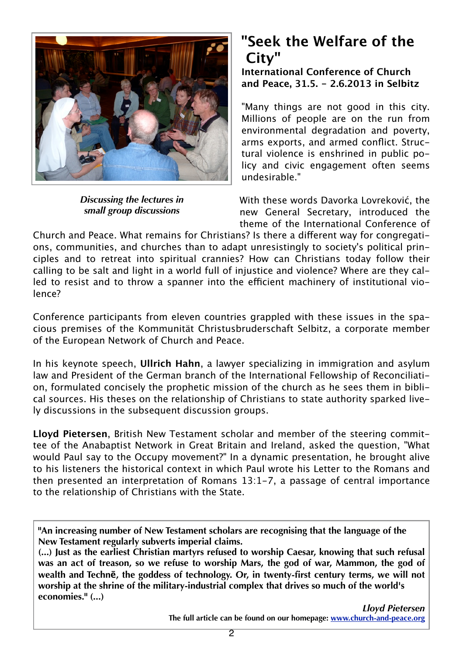

*Discussing the lectures in small group discussions* 

# **"Seek the Welfare of the City"**

**International Conference of Church and Peace, 31.5. - 2.6.2013 in Selbitz**

"Many things are not good in this city. Millions of people are on the run from environmental degradation and poverty, arms exports, and armed conflict. Structural violence is enshrined in public policy and civic engagement often seems undesirable."

With these words Davorka Lovreković, the new General Secretary, introduced the theme of the International Conference of

Church and Peace. What remains for Christians? Is there a different way for congregations, communities, and churches than to adapt unresistingly to society's political principles and to retreat into spiritual crannies? How can Christians today follow their calling to be salt and light in a world full of injustice and violence? Where are they called to resist and to throw a spanner into the efficient machinery of institutional violence?

Conference participants from eleven countries grappled with these issues in the spacious premises of the Kommunität Christusbruderschaft Selbitz, a corporate member of the European Network of Church and Peace.

In his keynote speech, **Ullrich Hahn**, a lawyer specializing in immigration and asylum law and President of the German branch of the International Fellowship of Reconciliation, formulated concisely the prophetic mission of the church as he sees them in biblical sources. His theses on the relationship of Christians to state authority sparked lively discussions in the subsequent discussion groups.

**Lloyd Pietersen**, British New Testament scholar and member of the steering committee of the Anabaptist Network in Great Britain and Ireland, asked the question, "What would Paul say to the Occupy movement?" In a dynamic presentation, he brought alive to his listeners the historical context in which Paul wrote his Letter to the Romans and then presented an interpretation of Romans 13:1-7, a passage of central importance to the relationship of Christians with the State.

**"An increasing number of New Testament scholars are recognising that the language of the New Testament regularly subverts imperial claims.**

**(...) Just as the earliest Christian martyrs refused to worship Caesar, knowing that such refusal was an act of treason, so we refuse to worship Mars, the god of war, Mammon, the god of wealth and Technē, the goddess of technology. Or, in twenty-first century terms, we will not worship at the shrine of the military-industrial complex that drives so much of the world's economies." (...)**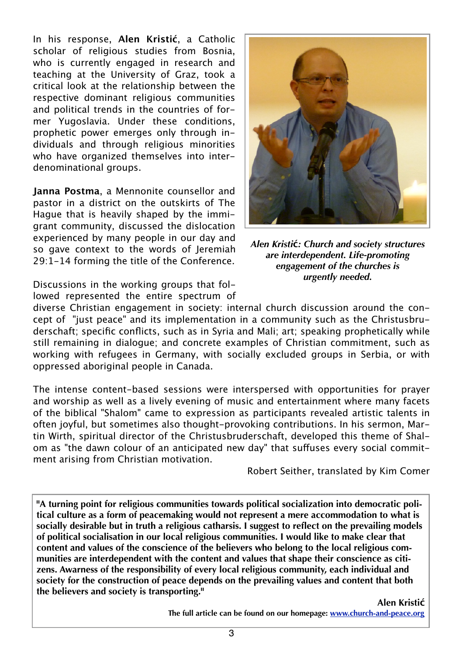In his response, **Alen Kristić**, a Catholic scholar of religious studies from Bosnia, who is currently engaged in research and teaching at the University of Graz, took a critical look at the relationship between the respective dominant religious communities and political trends in the countries of former Yugoslavia. Under these conditions, prophetic power emerges only through individuals and through religious minorities who have organized themselves into interdenominational groups.

**Janna Postma**, a Mennonite counsellor and pastor in a district on the outskirts of The Hague that is heavily shaped by the immigrant community, discussed the dislocation experienced by many people in our day and so gave context to the words of Jeremiah 29:1-14 forming the title of the Conference.

Discussions in the working groups that followed represented the entire spectrum of



*Alen Kristi***ć***: Church and society structures are interdependent. Life-promoting engagement of the churches is urgently needed.*

diverse Christian engagement in society: internal church discussion around the concept of "just peace" and its implementation in a community such as the Christusbruderschaft; specific conflicts, such as in Syria and Mali; art; speaking prophetically while still remaining in dialogue; and concrete examples of Christian commitment, such as working with refugees in Germany, with socially excluded groups in Serbia, or with oppressed aboriginal people in Canada.

The intense content-based sessions were interspersed with opportunities for prayer and worship as well as a lively evening of music and entertainment where many facets of the biblical "Shalom" came to expression as participants revealed artistic talents in often joyful, but sometimes also thought-provoking contributions. In his sermon, Martin Wirth, spiritual director of the Christusbruderschaft, developed this theme of Shalom as "the dawn colour of an anticipated new day" that suffuses every social commitment arising from Christian motivation.

Robert Seither, translated by Kim Comer

**"A turning point for religious communities towards political socialization into democratic political culture as a form of peacemaking would not represent a mere accommodation to what is socially desirable but in truth a religious catharsis. I suggest to reflect on the prevailing models of political socialisation in our local religious communities. I would like to make clear that content and values of the conscience of the believers who belong to the local religious communities are interdependent with the content and values that shape their conscience as citizens. Awarness of the responsibility of every local religious community, each individual and society for the construction of peace depends on the prevailing values and content that both the believers and society is transporting."**

> **Alen Kristić The full article can be found on our homepage: [www.church-and-peace.org](http://www.church-and-peace.org)**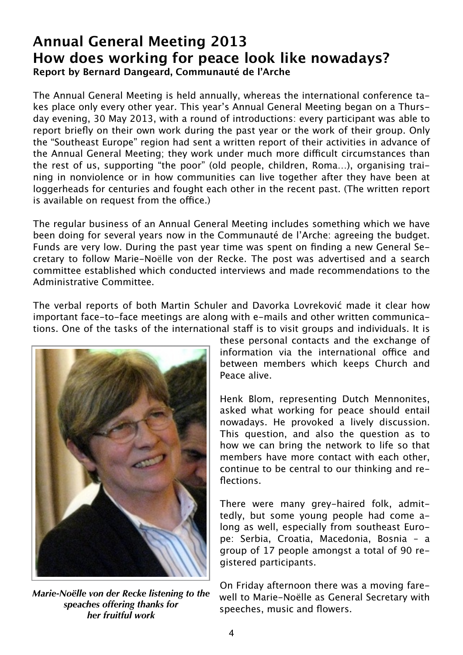### **Annual General Meeting 2013 How does working for peace look like nowadays? Report by Bernard Dangeard, Communauté de l'Arche**

The Annual General Meeting is held annually, whereas the international conference takes place only every other year. This year's Annual General Meeting began on a Thursday evening, 30 May 2013, with a round of introductions: every participant was able to report briefly on their own work during the past year or the work of their group. Only the "Southeast Europe" region had sent a written report of their activities in advance of the Annual General Meeting; they work under much more difficult circumstances than the rest of us, supporting "the poor" (old people, children, Roma…), organising training in nonviolence or in how communities can live together after they have been at loggerheads for centuries and fought each other in the recent past. (The written report is available on request from the office.)

The regular business of an Annual General Meeting includes something which we have been doing for several years now in the Communauté de l'Arche: agreeing the budget. Funds are very low. During the past year time was spent on finding a new General Secretary to follow Marie-Noëlle von der Recke. The post was advertised and a search committee established which conducted interviews and made recommendations to the Administrative Committee.

The verbal reports of both Martin Schuler and Davorka Lovreković made it clear how important face-to-face meetings are along with e-mails and other written communications. One of the tasks of the international staff is to visit groups and individuals. It is



*Marie-Noëlle von der Recke listening to the speaches offering thanks for her fruitful work*

these personal contacts and the exchange of information via the international office and between members which keeps Church and Peace alive.

Henk Blom, representing Dutch Mennonites, asked what working for peace should entail nowadays. He provoked a lively discussion. This question, and also the question as to how we can bring the network to life so that members have more contact with each other, continue to be central to our thinking and reflections.

There were many grey-haired folk, admittedly, but some young people had come along as well, especially from southeast Europe: Serbia, Croatia, Macedonia, Bosnia – a group of 17 people amongst a total of 90 registered participants.

On Friday afternoon there was a moving farewell to Marie-Noëlle as General Secretary with speeches, music and flowers.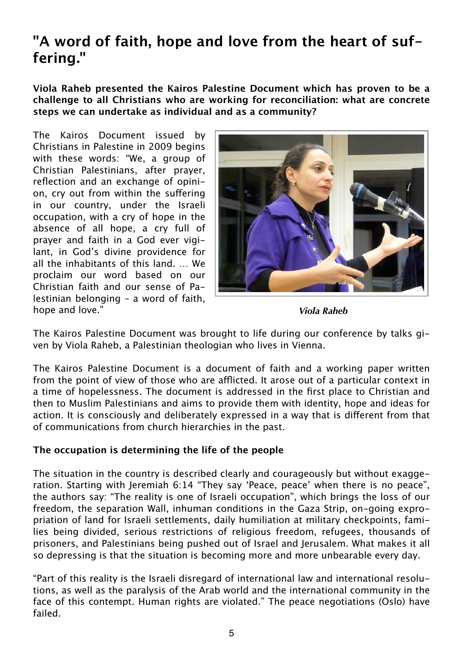# **"A word of faith, hope and love from the heart of suffering."**

**Viola Raheb presented the Kairos Palestine Document which has proven to be a challenge to all Christians who are working for reconciliation: what are concrete steps we can undertake as individual and as a community?**

The Kairos Document issued by Christians in Palestine in 2009 begins with these words: "We, a group of Christian Palestinians, after prayer, reflection and an exchange of opinion, cry out from within the suffering in our country, under the Israeli occupation, with a cry of hope in the absence of all hope, a cry full of prayer and faith in a God ever vigilant, in God's divine providence for all the inhabitants of this land. … We proclaim our word based on our Christian faith and our sense of Palestinian belonging – a word of faith, hope and love."



*Viola Raheb*

The Kairos Palestine Document was brought to life during our conference by talks given by Viola Raheb, a Palestinian theologian who lives in Vienna.

The Kairos Palestine Document is a document of faith and a working paper written from the point of view of those who are afflicted. It arose out of a particular context in a time of hopelessness. The document is addressed in the first place to Christian and then to Muslim Palestinians and aims to provide them with identity, hope and ideas for action. It is consciously and deliberately expressed in a way that is different from that of communications from church hierarchies in the past.

### **The occupation is determining the life of the people**

The situation in the country is described clearly and courageously but without exaggeration. Starting with Jeremiah 6:14 "They say 'Peace, peace' when there is no peace", the authors say: "The reality is one of Israeli occupation", which brings the loss of our freedom, the separation Wall, inhuman conditions in the Gaza Strip, on-going expropriation of land for Israeli settlements, daily humiliation at military checkpoints, families being divided, serious restrictions of religious freedom, refugees, thousands of prisoners, and Palestinians being pushed out of Israel and Jerusalem. What makes it all so depressing is that the situation is becoming more and more unbearable every day.

"Part of this reality is the Israeli disregard of international law and international resolutions, as well as the paralysis of the Arab world and the international community in the face of this contempt. Human rights are violated." The peace negotiations (Oslo) have failed.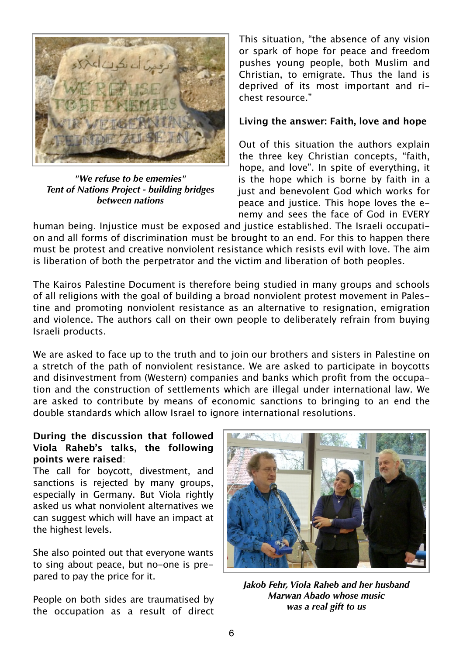

*"We refuse to be ememies" Tent of Nations Project - building bridges between nations*

This situation, "the absence of any vision or spark of hope for peace and freedom pushes young people, both Muslim and Christian, to emigrate. Thus the land is deprived of its most important and richest resource."

#### **Living the answer: Faith, love and hope**

Out of this situation the authors explain the three key Christian concepts, "faith, hope, and love". In spite of everything, it is the hope which is borne by faith in a just and benevolent God which works for peace and justice. This hope loves the enemy and sees the face of God in EVERY

human being. Injustice must be exposed and justice established. The Israeli occupation and all forms of discrimination must be brought to an end. For this to happen there must be protest and creative nonviolent resistance which resists evil with love. The aim is liberation of both the perpetrator and the victim and liberation of both peoples.

The Kairos Palestine Document is therefore being studied in many groups and schools of all religions with the goal of building a broad nonviolent protest movement in Palestine and promoting nonviolent resistance as an alternative to resignation, emigration and violence. The authors call on their own people to deliberately refrain from buying Israeli products.

We are asked to face up to the truth and to join our brothers and sisters in Palestine on a stretch of the path of nonviolent resistance. We are asked to participate in boycotts and disinvestment from (Western) companies and banks which profit from the occupation and the construction of settlements which are illegal under international law. We are asked to contribute by means of economic sanctions to bringing to an end the double standards which allow Israel to ignore international resolutions.

#### **During the discussion that followed Viola Raheb's talks, the following points were raised**:

The call for boycott, divestment, and sanctions is rejected by many groups, especially in Germany. But Viola rightly asked us what nonviolent alternatives we can suggest which will have an impact at the highest levels.

She also pointed out that everyone wants to sing about peace, but no-one is prepared to pay the price for it.

People on both sides are traumatised by the occupation as a result of direct



*Jakob Fehr, Viola Raheb and her husband Marwan Abado whose music was a real gift to us*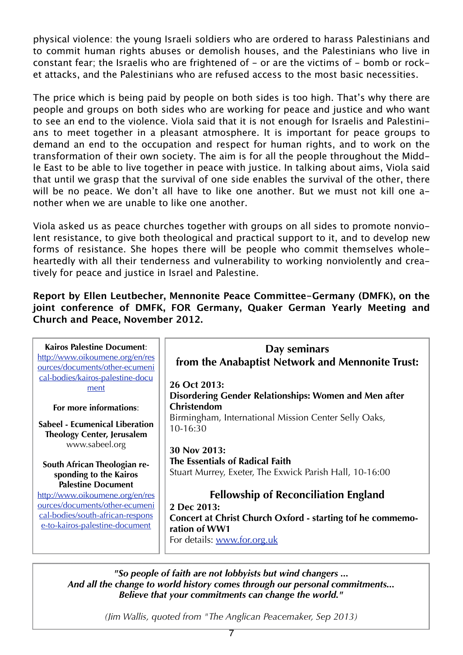physical violence: the young Israeli soldiers who are ordered to harass Palestinians and to commit human rights abuses or demolish houses, and the Palestinians who live in constant fear; the Israelis who are frightened of - or are the victims of - bomb or rocket attacks, and the Palestinians who are refused access to the most basic necessities.

The price which is being paid by people on both sides is too high. That's why there are people and groups on both sides who are working for peace and justice and who want to see an end to the violence. Viola said that it is not enough for Israelis and Palestinians to meet together in a pleasant atmosphere. It is important for peace groups to demand an end to the occupation and respect for human rights, and to work on the transformation of their own society. The aim is for all the people throughout the Middle East to be able to live together in peace with justice. In talking about aims, Viola said that until we grasp that the survival of one side enables the survival of the other, there will be no peace. We don't all have to like one another. But we must not kill one another when we are unable to like one another.

Viola asked us as peace churches together with groups on all sides to promote nonviolent resistance, to give both theological and practical support to it, and to develop new forms of resistance. She hopes there will be people who commit themselves wholeheartedly with all their tenderness and vulnerability to working nonviolently and creatively for peace and justice in Israel and Palestine.

**Report by Ellen Leutbecher, Mennonite Peace Committee-Germany (DMFK), on the joint conference of DMFK, FOR Germany, Quaker German Yearly Meeting and Church and Peace, November 2012.**

| <b>Kairos Palestine Document:</b><br>http://www.oikoumene.org/en/res<br>ources/documents/other-ecumeni<br>cal-bodies/kairos-palestine-docu<br>ment     | Day seminars<br>from the Anabaptist Network and Mennonite Trust:<br>26 Oct 2013:<br><b>Disordering Gender Relationships: Women and Men after</b>                               |
|--------------------------------------------------------------------------------------------------------------------------------------------------------|--------------------------------------------------------------------------------------------------------------------------------------------------------------------------------|
| For more informations:                                                                                                                                 | <b>Christendom</b>                                                                                                                                                             |
| <b>Sabeel - Ecumenical Liberation</b><br><b>Theology Center, Jerusalem</b><br>www.sabeel.org<br>South African Theologian re-<br>sponding to the Kairos | Birmingham, International Mission Center Selly Oaks,<br>10-16:30<br>30 Nov 2013:<br>The Essentials of Radical Faith<br>Stuart Murrey, Exeter, The Exwick Parish Hall, 10-16:00 |
| <b>Palestine Document</b>                                                                                                                              |                                                                                                                                                                                |
| http://www.oikoumene.org/en/res                                                                                                                        | <b>Fellowship of Reconciliation England</b>                                                                                                                                    |
| ources/documents/other-ecumeni                                                                                                                         | 2 Dec 2013:                                                                                                                                                                    |
| cal-bodies/south-african-respons<br>e-to-kairos-palestine-document                                                                                     | Concert at Christ Church Oxford - starting tof he commemo-<br>ration of WW1<br>For details: www.for.org.uk                                                                     |

*"So people of faith are not lobbyists but wind changers ... And all the change to world history comes through our personal commitments... Believe that your commitments can change the world."*

*(Jim Wallis, quoted from "The Anglican Peacemaker, Sep 2013)*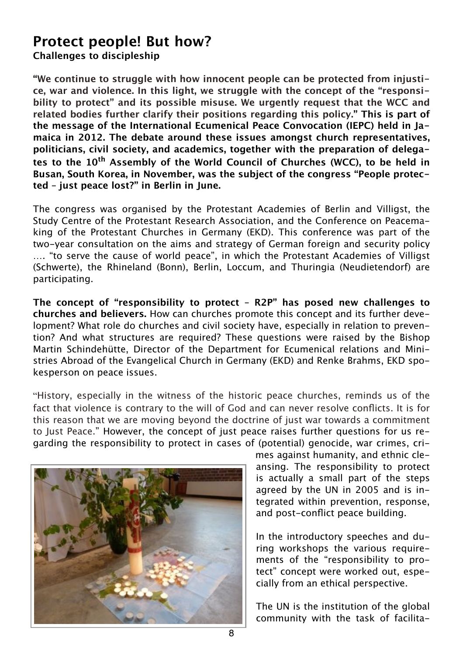## **Protect people! But how?**

**Challenges to discipleship**

**"We continue to struggle with how innocent people can be protected from injustice, war and violence. In this light, we struggle with the concept of the "responsibility to protect" and its possible misuse. We urgently request that the WCC and related bodies further clarify their positions regarding this policy." This is part of the message of the International Ecumenical Peace Convocation (IEPC) held in Jamaica in 2012. The debate around these issues amongst church representatives, politicians, civil society, and academics, together with the preparation of delegates to the 10th Assembly of the World Council of Churches (WCC), to be held in Busan, South Korea, in November, was the subject of the congress "People protected – just peace lost?" in Berlin in June.**

The congress was organised by the Protestant Academies of Berlin and Villigst, the Study Centre of the Protestant Research Association, and the Conference on Peacemaking of the Protestant Churches in Germany (EKD). This conference was part of the two-year consultation on the aims and strategy of German foreign and security policy …. "to serve the cause of world peace", in which the Protestant Academies of Villigst (Schwerte), the Rhineland (Bonn), Berlin, Loccum, and Thuringia (Neudietendorf) are participating.

**The concept of "responsibility to protect – R2P" has posed new challenges to churches and believers.** How can churches promote this concept and its further development? What role do churches and civil society have, especially in relation to prevention? And what structures are required? These questions were raised by the Bishop Martin Schindehütte, Director of the Department for Ecumenical relations and Ministries Abroad of the Evangelical Church in Germany (EKD) and Renke Brahms, EKD spokesperson on peace issues.

"History, especially in the witness of the historic peace churches, reminds us of the fact that violence is contrary to the will of God and can never resolve conflicts. It is for this reason that we are moving beyond the doctrine of just war towards a commitment to Just Peace." However, the concept of just peace raises further questions for us regarding the responsibility to protect in cases of (potential) genocide, war crimes, cri-



mes against humanity, and ethnic cleansing. The responsibility to protect is actually a small part of the steps agreed by the UN in 2005 and is integrated within prevention, response, and post-conflict peace building.

In the introductory speeches and during workshops the various requirements of the "responsibility to protect" concept were worked out, especially from an ethical perspective.

The UN is the institution of the global community with the task of facilita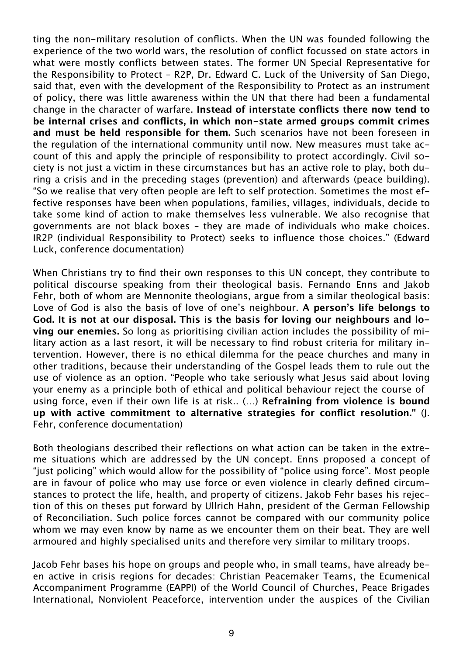ting the non-military resolution of conflicts. When the UN was founded following the experience of the two world wars, the resolution of conflict focussed on state actors in what were mostly conflicts between states. The former UN Special Representative for the Responsibility to Protect – R2P, Dr. Edward C. Luck of the University of San Diego, said that, even with the development of the Responsibility to Protect as an instrument of policy, there was little awareness within the UN that there had been a fundamental change in the character of warfare. **Instead of interstate conflicts there now tend to be internal crises and conflicts, in which non-state armed groups commit crimes and must be held responsible for them.** Such scenarios have not been foreseen in the regulation of the international community until now. New measures must take account of this and apply the principle of responsibility to protect accordingly. Civil society is not just a victim in these circumstances but has an active role to play, both during a crisis and in the preceding stages (prevention) and afterwards (peace building). "So we realise that very often people are left to self protection. Sometimes the most effective responses have been when populations, families, villages, individuals, decide to take some kind of action to make themselves less vulnerable. We also recognise that governments are not black boxes – they are made of individuals who make choices. IR2P (individual Responsibility to Protect) seeks to influence those choices." (Edward Luck, conference documentation)

When Christians try to find their own responses to this UN concept, they contribute to political discourse speaking from their theological basis. Fernando Enns and Jakob Fehr, both of whom are Mennonite theologians, argue from a similar theological basis: Love of God is also the basis of love of one's neighbour. **A person's life belongs to God. It is not at our disposal. This is the basis for loving our neighbours and loving our enemies.** So long as prioritising civilian action includes the possibility of military action as a last resort, it will be necessary to find robust criteria for military intervention. However, there is no ethical dilemma for the peace churches and many in other traditions, because their understanding of the Gospel leads them to rule out the use of violence as an option. "People who take seriously what Jesus said about loving your enemy as a principle both of ethical and political behaviour reject the course of using force, even if their own life is at risk.. (…) **Refraining from violence is bound up with active commitment to alternative strategies for conflict resolution."** (J. Fehr, conference documentation)

Both theologians described their reflections on what action can be taken in the extreme situations which are addressed by the UN concept. Enns proposed a concept of "just policing" which would allow for the possibility of "police using force". Most people are in favour of police who may use force or even violence in clearly defined circumstances to protect the life, health, and property of citizens. Jakob Fehr bases his rejection of this on theses put forward by Ullrich Hahn, president of the German Fellowship of Reconciliation. Such police forces cannot be compared with our community police whom we may even know by name as we encounter them on their beat. They are well armoured and highly specialised units and therefore very similar to military troops.

Jacob Fehr bases his hope on groups and people who, in small teams, have already been active in crisis regions for decades: Christian Peacemaker Teams, the Ecumenical Accompaniment Programme (EAPPI) of the World Council of Churches, Peace Brigades International, Nonviolent Peaceforce, intervention under the auspices of the Civilian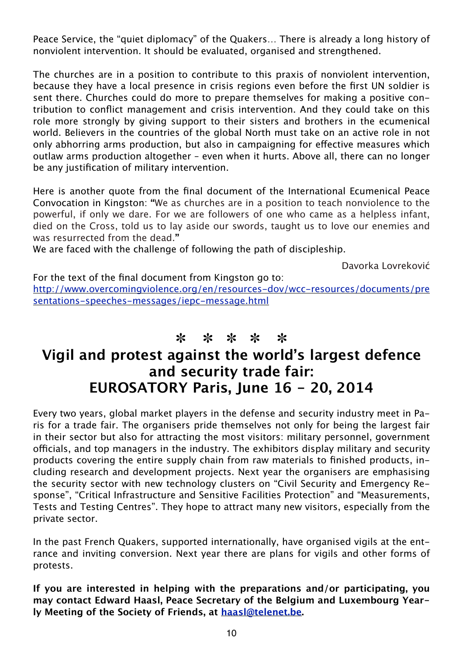Peace Service, the "quiet diplomacy" of the Quakers… There is already a long history of nonviolent intervention. It should be evaluated, organised and strengthened.

The churches are in a position to contribute to this praxis of nonviolent intervention, because they have a local presence in crisis regions even before the first UN soldier is sent there. Churches could do more to prepare themselves for making a positive contribution to conflict management and crisis intervention. And they could take on this role more strongly by giving support to their sisters and brothers in the ecumenical world. Believers in the countries of the global North must take on an active role in not only abhorring arms production, but also in campaigning for effective measures which outlaw arms production altogether – even when it hurts. Above all, there can no longer be any justification of military intervention.

Here is another quote from the final document of the International Ecumenical Peace Convocation in Kingston: **"**We as churches are in a position to teach nonviolence to the powerful, if only we dare. For we are followers of one who came as a helpless infant, died on the Cross, told us to lay aside our swords, taught us to love our enemies and was resurrected from the dead.**"**

We are faced with the challenge of following the path of discipleship.

Davorka Lovreković

For the text of the final document from Kingston go to: [http://www.overcomingviolence.org/en/resources-dov/wcc-resources/documents/pre](http://www.overcomingviolence.org/en/resources-dov/wcc-resources/documents/presentations-speeches-messages/iepc-message.html) [sentations-speeches-messages/iepc-message.html](http://www.overcomingviolence.org/en/resources-dov/wcc-resources/documents/presentations-speeches-messages/iepc-message.html) 

### ✽ ✽ ✽ ✽ ✽

# **Vigil and protest against the world's largest defence and security trade fair: EUROSATORY Paris, June 16 - 20, 2014**

Every two years, global market players in the defense and security industry meet in Paris for a trade fair. The organisers pride themselves not only for being the largest fair in their sector but also for attracting the most visitors: military personnel, government officials, and top managers in the industry. The exhibitors display military and security products covering the entire supply chain from raw materials to finished products, including research and development projects. Next year the organisers are emphasising the security sector with new technology clusters on "Civil Security and Emergency Response", "Critical Infrastructure and Sensitive Facilities Protection" and "Measurements, Tests and Testing Centres". They hope to attract many new visitors, especially from the private sector.

In the past French Quakers, supported internationally, have organised vigils at the entrance and inviting conversion. Next year there are plans for vigils and other forms of protests.

**If you are interested in helping with the preparations and/or participating, you may contact Edward Haasl, Peace Secretary of the Belgium and Luxembourg Yearly Meeting of the Society of Friends, at [haasl@telenet.be.](mailto:haasl@telenet.be)**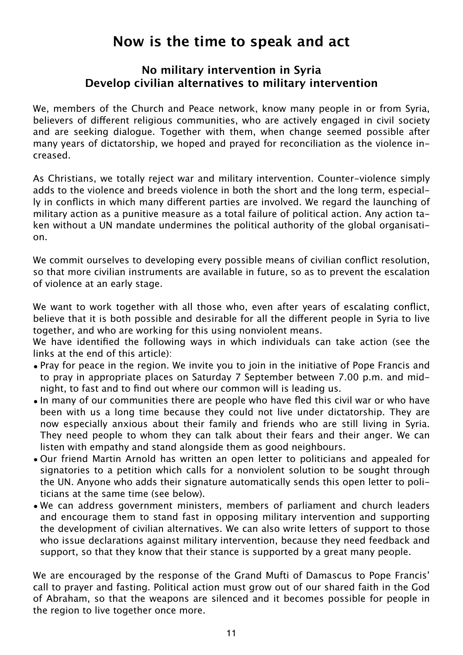# **Now is the time to speak and act**

### **No military intervention in Syria Develop civilian alternatives to military intervention**

We, members of the Church and Peace network, know many people in or from Syria, believers of different religious communities, who are actively engaged in civil society and are seeking dialogue. Together with them, when change seemed possible after many years of dictatorship, we hoped and prayed for reconciliation as the violence increased.

As Christians, we totally reject war and military intervention. Counter-violence simply adds to the violence and breeds violence in both the short and the long term, especially in conflicts in which many different parties are involved. We regard the launching of military action as a punitive measure as a total failure of political action. Any action taken without a UN mandate undermines the political authority of the global organisation.

We commit ourselves to developing every possible means of civilian conflict resolution, so that more civilian instruments are available in future, so as to prevent the escalation of violence at an early stage.

We want to work together with all those who, even after years of escalating conflict, believe that it is both possible and desirable for all the different people in Syria to live together, and who are working for this using nonviolent means.

We have identified the following ways in which individuals can take action (see the links at the end of this article):

- Pray for peace in the region. We invite you to join in the initiative of Pope Francis and to pray in appropriate places on Saturday 7 September between 7.00 p.m. and midnight, to fast and to find out where our common will is leading us.
- In many of our communities there are people who have fled this civil war or who have been with us a long time because they could not live under dictatorship. They are now especially anxious about their family and friends who are still living in Syria. They need people to whom they can talk about their fears and their anger. We can listen with empathy and stand alongside them as good neighbours.
- Our friend Martin Arnold has written an open letter to politicians and appealed for signatories to a petition which calls for a nonviolent solution to be sought through the UN. Anyone who adds their signature automatically sends this open letter to politicians at the same time (see below).
- We can address government ministers, members of parliament and church leaders and encourage them to stand fast in opposing military intervention and supporting the development of civilian alternatives. We can also write letters of support to those who issue declarations against military intervention, because they need feedback and support, so that they know that their stance is supported by a great many people.

We are encouraged by the response of the Grand Mufti of Damascus to Pope Francis' call to prayer and fasting. Political action must grow out of our shared faith in the God of Abraham, so that the weapons are silenced and it becomes possible for people in the region to live together once more.